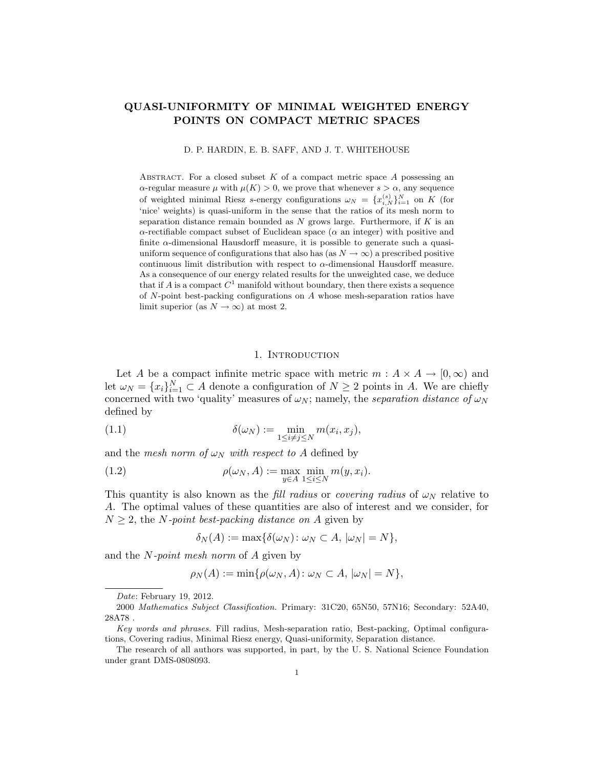# QUASI-UNIFORMITY OF MINIMAL WEIGHTED ENERGY POINTS ON COMPACT METRIC SPACES

D. P. HARDIN, E. B. SAFF, AND J. T. WHITEHOUSE

ABSTRACT. For a closed subset  $K$  of a compact metric space  $A$  possessing an  $\alpha$ -regular measure  $\mu$  with  $\mu(K) > 0$ , we prove that whenever  $s > \alpha$ , any sequence of weighted minimal Riesz s-energy configurations  $\omega_N = \{x_{i,N}^{(s)}\}_{i=1}^N$  on K (for 'nice' weights) is quasi-uniform in the sense that the ratios of its mesh norm to separation distance remain bounded as  $N$  grows large. Furthermore, if  $K$  is an  $\alpha$ -rectifiable compact subset of Euclidean space ( $\alpha$  an integer) with positive and finite  $\alpha$ -dimensional Hausdorff measure, it is possible to generate such a quasiuniform sequence of configurations that also has (as  $N \to \infty$ ) a prescribed positive continuous limit distribution with respect to  $\alpha$ -dimensional Hausdorff measure. As a consequence of our energy related results for the unweighted case, we deduce that if A is a compact  $C^1$  manifold without boundary, then there exists a sequence of N-point best-packing configurations on A whose mesh-separation ratios have limit superior (as  $N \to \infty$ ) at most 2.

## 1. INTRODUCTION

Let A be a compact infinite metric space with metric  $m : A \times A \rightarrow [0, \infty)$  and let  $\omega_N = \{x_i\}_{i=1}^N \subset A$  denote a configuration of  $N \geq 2$  points in A. We are chiefly concerned with two 'quality' measures of  $\omega_N$ ; namely, the *separation distance of*  $\omega_N$ defined by

(1.1) 
$$
\delta(\omega_N) := \min_{1 \le i \ne j \le N} m(x_i, x_j),
$$

and the mesh norm of  $\omega_N$  with respect to A defined by

(1.2) 
$$
\rho(\omega_N, A) := \max_{y \in A} \min_{1 \le i \le N} m(y, x_i).
$$

This quantity is also known as the fill radius or covering radius of  $\omega_N$  relative to A. The optimal values of these quantities are also of interest and we consider, for  $N > 2$ , the *N*-point best-packing distance on *A* given by

$$
\delta_N(A) := \max\{\delta(\omega_N) \colon \omega_N \subset A, |\omega_N| = N\},\
$$

and the N-point mesh norm of A given by

$$
\rho_N(A) := \min \{ \rho(\omega_N, A) \colon \omega_N \subset A, |\omega_N| = N \},\
$$

Date: February 19, 2012.

<sup>2000</sup> Mathematics Subject Classification. Primary: 31C20, 65N50, 57N16; Secondary: 52A40,  $28A78$  .

Key words and phrases. Fill radius, Mesh-separation ratio, Best-packing, Optimal configurations, Covering radius, Minimal Riesz energy, Quasi-uniformity, Separation distance.

The research of all authors was supported, in part, by the U. S. National Science Foundation under grant DMS-0808093.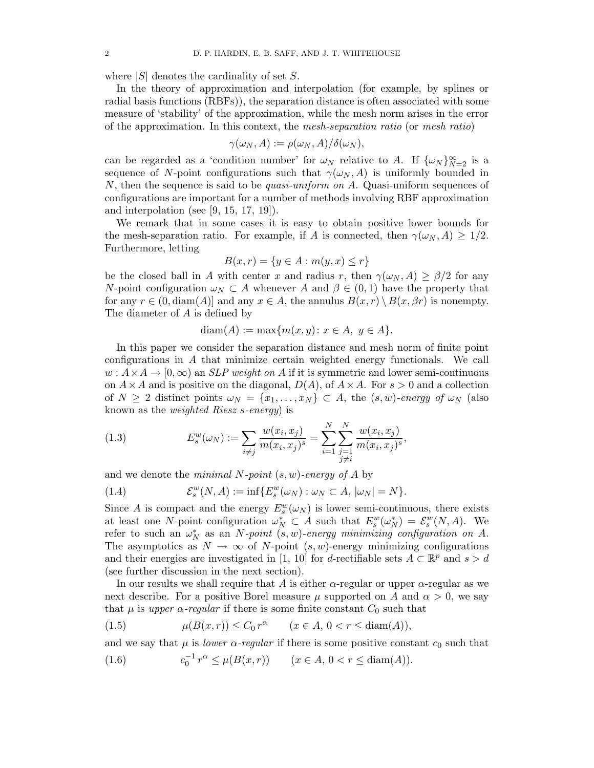where  $|S|$  denotes the cardinality of set S.

In the theory of approximation and interpolation (for example, by splines or radial basis functions (RBFs)), the separation distance is often associated with some measure of 'stability' of the approximation, while the mesh norm arises in the error of the approximation. In this context, the mesh-separation ratio (or mesh ratio)

$$
\gamma(\omega_N, A) := \rho(\omega_N, A) / \delta(\omega_N),
$$

can be regarded as a 'condition number' for  $\omega_N$  relative to A. If  $\{\omega_N\}_{N=2}^{\infty}$  is a sequence of N-point configurations such that  $\gamma(\omega_N, A)$  is uniformly bounded in N, then the sequence is said to be *quasi-uniform on A*. Quasi-uniform sequences of configurations are important for a number of methods involving RBF approximation and interpolation (see [9, 15, 17, 19]).

We remark that in some cases it is easy to obtain positive lower bounds for the mesh-separation ratio. For example, if A is connected, then  $\gamma(\omega_N, A) \geq 1/2$ . Furthermore, letting

$$
B(x,r) = \{ y \in A : m(y,x) \le r \}
$$

be the closed ball in A with center x and radius r, then  $\gamma(\omega_N, A) \geq \beta/2$  for any N-point configuration  $\omega_N \subset A$  whenever A and  $\beta \in (0,1)$  have the property that for any  $r \in (0, \text{diam}(A))$  and any  $x \in A$ , the annulus  $B(x, r) \setminus B(x, \beta r)$  is nonempty. The diameter of A is defined by

$$
diam(A) := max{m(x, y) : x \in A, y \in A}.
$$

In this paper we consider the separation distance and mesh norm of finite point configurations in A that minimize certain weighted energy functionals. We call  $w: A \times A \rightarrow [0, \infty)$  an *SLP weight on A* if it is symmetric and lower semi-continuous on  $A \times A$  and is positive on the diagonal,  $D(A)$ , of  $A \times A$ . For  $s > 0$  and a collection of  $N \geq 2$  distinct points  $\omega_N = \{x_1, \ldots, x_N\} \subset A$ , the  $(s, w)$ -energy of  $\omega_N$  (also known as the weighted Riesz s-energy) is

(1.3) 
$$
E_s^w(\omega_N) := \sum_{i \neq j} \frac{w(x_i, x_j)}{m(x_i, x_j)^s} = \sum_{i=1}^N \sum_{\substack{j=1 \ j \neq i}}^N \frac{w(x_i, x_j)}{m(x_i, x_j)^s},
$$

and we denote the *minimal N-point*  $(s, w)$ -energy of A by

(1.4) 
$$
\mathcal{E}_s^w(N,A) := \inf \{ E_s^w(\omega_N) : \omega_N \subset A, |\omega_N| = N \}.
$$

Since A is compact and the energy  $E_s^w(\omega_N)$  is lower semi-continuous, there exists at least one N-point configuration  $\omega_N^* \subset A$  such that  $E_s^w(\omega_N^*) = \mathcal{E}_s^w(N, A)$ . We refer to such an  $\omega_N^*$  as an N-point  $(s, w)$ -energy minimizing configuration on A. The asymptotics as  $N \to \infty$  of N-point  $(s, w)$ -energy minimizing configurations and their energies are investigated in [1, 10] for d-rectifiable sets  $A \subset \mathbb{R}^p$  and  $s > d$ (see further discussion in the next section).

In our results we shall require that A is either  $\alpha$ -regular or upper  $\alpha$ -regular as we next describe. For a positive Borel measure  $\mu$  supported on A and  $\alpha > 0$ , we say that  $\mu$  is upper  $\alpha$ -regular if there is some finite constant  $C_0$  such that

(1.5) 
$$
\mu(B(x,r)) \le C_0 r^{\alpha} \qquad (x \in A, 0 < r \le \text{diam}(A)),
$$

and we say that  $\mu$  is *lower*  $\alpha$ -regular if there is some positive constant  $c_0$  such that

(1.6) 
$$
c_0^{-1} r^{\alpha} \le \mu(B(x, r)) \qquad (x \in A, 0 < r \le \text{diam}(A)).
$$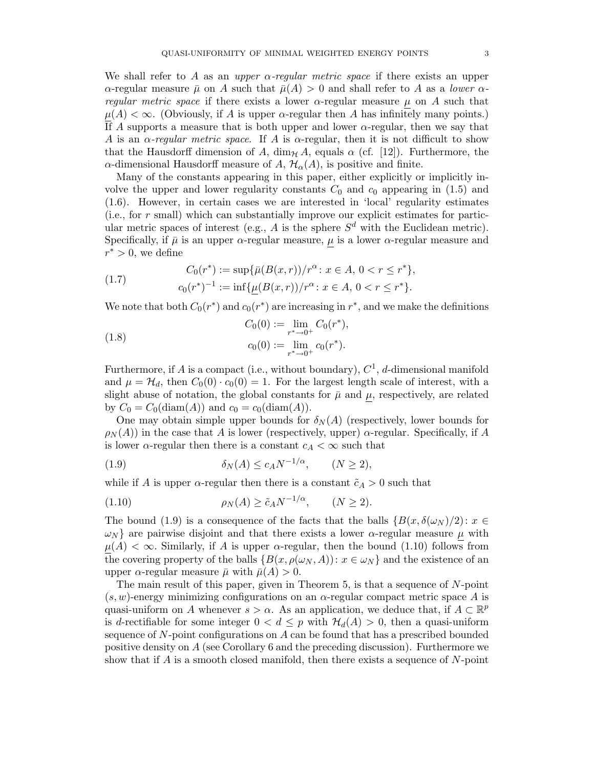We shall refer to A as an upper  $\alpha$ -regular metric space if there exists an upper  $\alpha$ -regular measure  $\bar{\mu}$  on A such that  $\bar{\mu}(A) > 0$  and shall refer to A as a *lower*  $\alpha$ regular metric space if there exists a lower  $\alpha$ -regular measure  $\mu$  on A such that  $\mu(A) < \infty$ . (Obviously, if A is upper  $\alpha$ -regular then A has infinitely many points.) If A supports a measure that is both upper and lower  $\alpha$ -regular, then we say that A is an  $\alpha$ -regular metric space. If A is  $\alpha$ -regular, then it is not difficult to show that the Hausdorff dimension of A,  $\dim_{\mathcal{H}} A$ , equals  $\alpha$  (cf. [12]). Furthermore, the α-dimensional Hausdorff measure of A,  $H_α(A)$ , is positive and finite.

Many of the constants appearing in this paper, either explicitly or implicitly involve the upper and lower regularity constants  $C_0$  and  $c_0$  appearing in (1.5) and (1.6). However, in certain cases we are interested in 'local' regularity estimates (i.e., for  $r$  small) which can substantially improve our explicit estimates for particular metric spaces of interest (e.g., A is the sphere  $S<sup>d</sup>$  with the Euclidean metric). Specifically, if  $\bar{\mu}$  is an upper  $\alpha$ -regular measure,  $\mu$  is a lower  $\alpha$ -regular measure and  $r^* > 0$ , we define

(1.7) 
$$
C_0(r^*) := \sup \{ \bar{\mu}(B(x,r))/r^{\alpha} : x \in A, 0 < r \leq r^* \},
$$

$$
c_0(r^*)^{-1} := \inf \{ \underline{\mu}(B(x,r))/r^{\alpha} : x \in A, 0 < r \leq r^* \}.
$$

We note that both  $C_0(r^*)$  and  $c_0(r^*)$  are increasing in  $r^*$ , and we make the definitions

(1.8) 
$$
C_0(0) := \lim_{r^* \to 0^+} C_0(r^*),
$$

$$
c_0(0) := \lim_{r^* \to 0^+} c_0(r^*).
$$

Furthermore, if A is a compact (i.e., without boundary),  $C^1$ , d-dimensional manifold and  $\mu = \mathcal{H}_d$ , then  $C_0(0) \cdot c_0(0) = 1$ . For the largest length scale of interest, with a slight abuse of notation, the global constants for  $\bar{\mu}$  and  $\mu$ , respectively, are related by  $C_0 = C_0(\text{diam}(A))$  and  $c_0 = c_0(\text{diam}(A)).$ 

One may obtain simple upper bounds for  $\delta_N(A)$  (respectively, lower bounds for  $\rho_N(A)$  in the case that A is lower (respectively, upper)  $\alpha$ -regular. Specifically, if A is lower  $\alpha$ -regular then there is a constant  $c_A < \infty$  such that

$$
(1.9) \t\t\t \delta_N(A) \le c_A N^{-1/\alpha}, \t (N \ge 2),
$$

while if A is upper  $\alpha$ -regular then there is a constant  $\tilde{c}_A > 0$  such that

$$
\rho_N(A) \ge \tilde{c}_A N^{-1/\alpha}, \qquad (N \ge 2).
$$

The bound (1.9) is a consequence of the facts that the balls  ${B(x, \delta(\omega_N)/2): x \in \mathbb{R}^N}$  $\omega_N$  are pairwise disjoint and that there exists a lower  $\alpha$ -regular measure  $\mu$  with  $\mu(A) < \infty$ . Similarly, if A is upper  $\alpha$ -regular, then the bound (1.10) follows from the covering property of the balls  $\{B(x, \rho(\omega_N, A)) : x \in \omega_N\}$  and the existence of an upper  $\alpha$ -regular measure  $\bar{\mu}$  with  $\bar{\mu}(A) > 0$ .

The main result of this paper, given in Theorem 5, is that a sequence of N-point  $(s, w)$ -energy minimizing configurations on an  $\alpha$ -regular compact metric space A is quasi-uniform on A whenever  $s > \alpha$ . As an application, we deduce that, if  $A \subset \mathbb{R}^p$ is d-rectifiable for some integer  $0 < d \leq p$  with  $\mathcal{H}_d(A) > 0$ , then a quasi-uniform sequence of N-point configurations on A can be found that has a prescribed bounded positive density on  $A$  (see Corollary 6 and the preceding discussion). Furthermore we show that if  $A$  is a smooth closed manifold, then there exists a sequence of  $N$ -point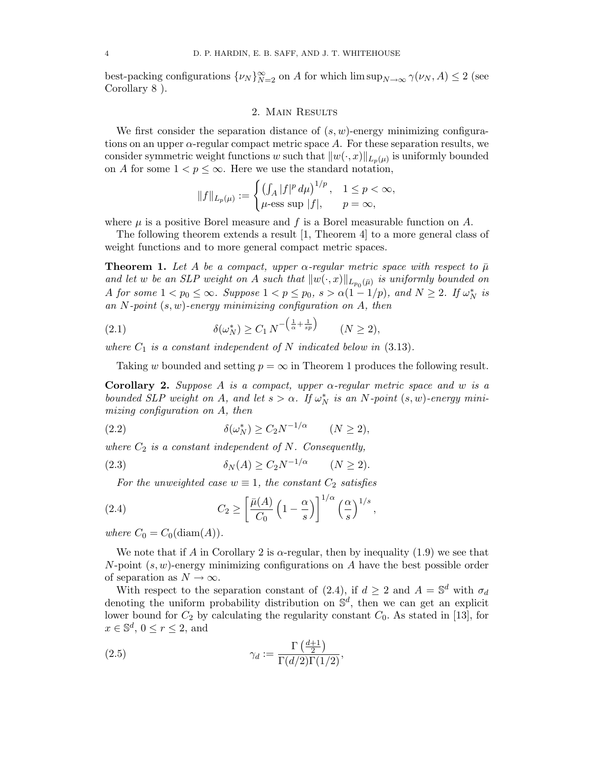best-packing configurations  $\{\nu_N\}_{N=2}^{\infty}$  on A for which  $\limsup_{N\to\infty} \gamma(\nu_N, A) \leq 2$  (see Corollary 8 ).

## 2. Main Results

We first consider the separation distance of  $(s, w)$ -energy minimizing configurations on an upper  $\alpha$ -regular compact metric space  $A$ . For these separation results, we consider symmetric weight functions w such that  $||w(\cdot, x)||_{L_p(\mu)}$  is uniformly bounded on A for some  $1 < p \leq \infty$ . Here we use the standard notation,

$$
||f||_{L_p(\mu)} := \begin{cases} \left(\int_A |f|^p \, d\mu\right)^{1/p}, & 1 \le p < \infty, \\ \mu\text{-ess sup } |f|, & p = \infty, \end{cases}
$$

where  $\mu$  is a positive Borel measure and f is a Borel measurable function on A.

The following theorem extends a result [1, Theorem 4] to a more general class of weight functions and to more general compact metric spaces.

**Theorem 1.** Let A be a compact, upper  $\alpha$ -regular metric space with respect to  $\bar{\mu}$ and let w be an SLP weight on A such that  $||w(\cdot, x)||_{L_{p_0}(\bar{\mu})}$  is uniformly bounded on A for some  $1 < p_0 \le \infty$ . Suppose  $1 < p \le p_0$ ,  $s > \alpha(1-1/p)$ , and  $N \ge 2$ . If  $\omega_N^*$  is an N-point  $(s, w)$ -energy minimizing configuration on A, then

$$
(2.1) \qquad \delta(\omega_N^*) \ge C_1 N^{-\left(\frac{1}{\alpha} + \frac{1}{sp}\right)} \qquad (N \ge 2),
$$

where  $C_1$  is a constant independent of N indicated below in  $(3.13)$ .

Taking w bounded and setting  $p = \infty$  in Theorem 1 produces the following result.

**Corollary 2.** Suppose A is a compact, upper  $\alpha$ -regular metric space and w is a bounded SLP weight on A, and let  $s > \alpha$ . If  $\omega_N^*$  is an N-point  $(s, w)$ -energy minimizing configuration on A, then

$$
(2.2) \t\t\t \delta(\omega_N^*) \ge C_2 N^{-1/\alpha} \t (N \ge 2),
$$

where  $C_2$  is a constant independent of N. Consequently,

$$
(2.3) \t\t\t \delta_N(A) \ge C_2 N^{-1/\alpha} \t (N \ge 2).
$$

For the unweighted case  $w \equiv 1$ , the constant  $C_2$  satisfies

(2.4) 
$$
C_2 \ge \left[\frac{\bar{\mu}(A)}{C_0} \left(1 - \frac{\alpha}{s}\right)\right]^{1/\alpha} \left(\frac{\alpha}{s}\right)^{1/s},
$$

where  $C_0 = C_0(\text{diam}(A)).$ 

We note that if A in Corollary 2 is  $\alpha$ -regular, then by inequality (1.9) we see that  $N$ -point  $(s, w)$ -energy minimizing configurations on  $A$  have the best possible order of separation as  $N \to \infty$ .

With respect to the separation constant of (2.4), if  $d \geq 2$  and  $A = \mathbb{S}^d$  with  $\sigma_d$ denoting the uniform probability distribution on  $\mathbb{S}^d$ , then we can get an explicit lower bound for  $C_2$  by calculating the regularity constant  $C_0$ . As stated in [13], for  $x \in \mathbb{S}^d$ ,  $0 \le r \le 2$ , and

(2.5) 
$$
\gamma_d := \frac{\Gamma\left(\frac{d+1}{2}\right)}{\Gamma(d/2)\Gamma(1/2)},
$$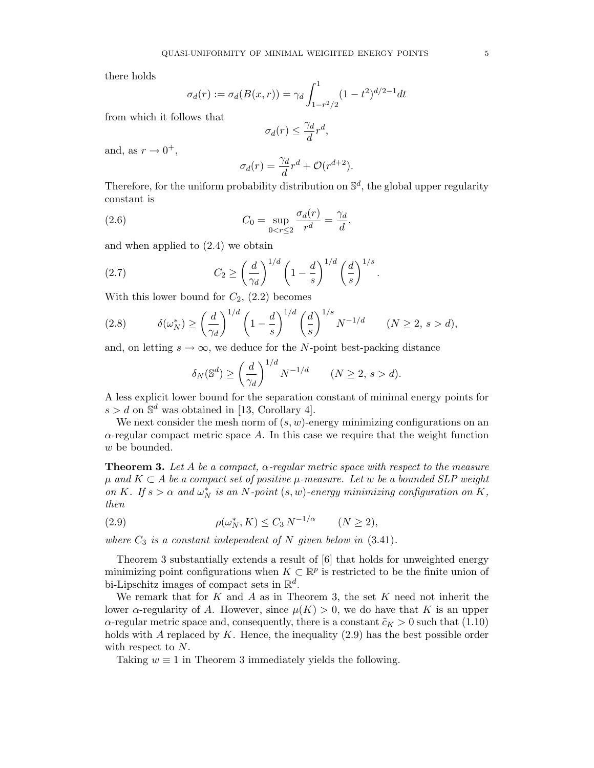there holds

$$
\sigma_d(r) := \sigma_d(B(x,r)) = \gamma_d \int_{1-r^2/2}^1 (1-t^2)^{d/2-1} dt
$$

from which it follows that

$$
\sigma_d(r) \le \frac{\gamma_d}{d} r^d,
$$

and, as  $r \to 0^+,$ 

$$
\sigma_d(r) = \frac{\gamma_d}{d}r^d + \mathcal{O}(r^{d+2}).
$$

Therefore, for the uniform probability distribution on  $\mathbb{S}^d$ , the global upper regularity constant is

(2.6) 
$$
C_0 = \sup_{0 < r \le 2} \frac{\sigma_d(r)}{r^d} = \frac{\gamma_d}{d},
$$

and when applied to (2.4) we obtain

(2.7) 
$$
C_2 \ge \left(\frac{d}{\gamma_d}\right)^{1/d} \left(1 - \frac{d}{s}\right)^{1/d} \left(\frac{d}{s}\right)^{1/s}.
$$

With this lower bound for  $C_2$ ,  $(2.2)$  becomes

$$
(2.8) \qquad \delta(\omega_N^*) \ge \left(\frac{d}{\gamma_d}\right)^{1/d} \left(1 - \frac{d}{s}\right)^{1/d} \left(\frac{d}{s}\right)^{1/s} N^{-1/d} \qquad (N \ge 2, \, s > d),
$$

and, on letting  $s \to \infty$ , we deduce for the N-point best-packing distance

$$
\delta_N(\mathbb{S}^d) \ge \left(\frac{d}{\gamma_d}\right)^{1/d} N^{-1/d} \qquad (N \ge 2, \, s > d).
$$

A less explicit lower bound for the separation constant of minimal energy points for  $s > d$  on  $\mathbb{S}^d$  was obtained in [13, Corollary 4].

We next consider the mesh norm of  $(s, w)$ -energy minimizing configurations on an  $\alpha$ -regular compact metric space A. In this case we require that the weight function w be bounded.

**Theorem 3.** Let A be a compact,  $\alpha$ -regular metric space with respect to the measure  $\mu$  and  $K \subset A$  be a compact set of positive  $\mu$ -measure. Let w be a bounded SLP weight on K. If  $s > \alpha$  and  $\omega_N^*$  is an N-point  $(s, w)$ -energy minimizing configuration on K, then

(2.9) 
$$
\rho(\omega_N^*, K) \le C_3 N^{-1/\alpha} \qquad (N \ge 2),
$$

where  $C_3$  is a constant independent of N given below in  $(3.41)$ .

Theorem 3 substantially extends a result of [6] that holds for unweighted energy minimizing point configurations when  $K \subset \mathbb{R}^p$  is restricted to be the finite union of bi-Lipschitz images of compact sets in  $\mathbb{R}^d$ .

We remark that for  $K$  and  $A$  as in Theorem 3, the set  $K$  need not inherit the lower  $\alpha$ -regularity of A. However, since  $\mu(K) > 0$ , we do have that K is an upper  $\alpha$ -regular metric space and, consequently, there is a constant  $\tilde{c}_K > 0$  such that (1.10) holds with A replaced by K. Hence, the inequality  $(2.9)$  has the best possible order with respect to N.

Taking  $w \equiv 1$  in Theorem 3 immediately yields the following.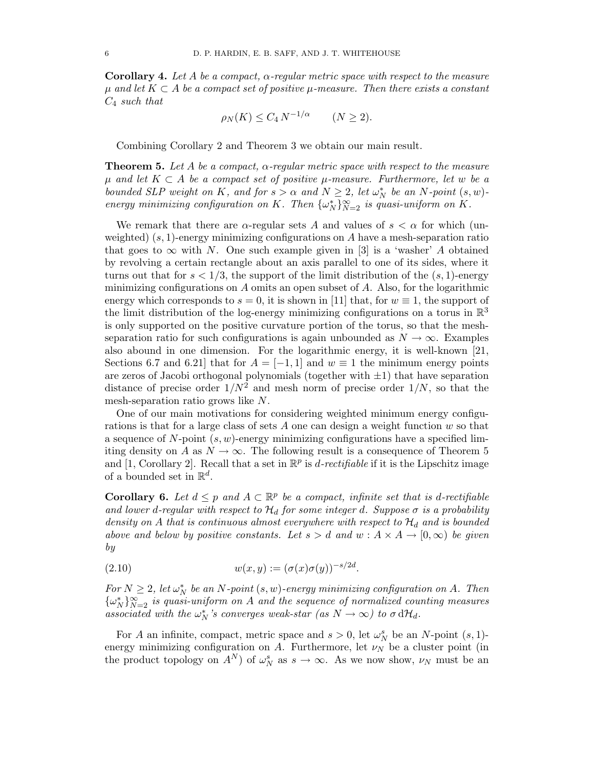**Corollary 4.** Let A be a compact,  $\alpha$ -regular metric space with respect to the measure  $\mu$  and let  $K \subset A$  be a compact set of positive  $\mu$ -measure. Then there exists a constant  $C_4$  such that

$$
\rho_N(K) \le C_4 N^{-1/\alpha} \qquad (N \ge 2).
$$

Combining Corollary 2 and Theorem 3 we obtain our main result.

**Theorem 5.** Let A be a compact,  $\alpha$ -regular metric space with respect to the measure  $\mu$  and let  $K \subset A$  be a compact set of positive  $\mu$ -measure. Furthermore, let w be a bounded SLP weight on K, and for  $s > \alpha$  and  $N \geq 2$ , let  $\omega_N^*$  be an N-point  $(s, w)$ energy minimizing configuration on K. Then  $\{\omega_N^*\}_{N=2}^\infty$  is quasi-uniform on K.

We remark that there are  $\alpha$ -regular sets A and values of  $s < \alpha$  for which (unweighted)  $(s, 1)$ -energy minimizing configurations on A have a mesh-separation ratio that goes to  $\infty$  with N. One such example given in [3] is a 'washer' A obtained by revolving a certain rectangle about an axis parallel to one of its sides, where it turns out that for  $s < 1/3$ , the support of the limit distribution of the  $(s, 1)$ -energy minimizing configurations on  $A$  omits an open subset of  $A$ . Also, for the logarithmic energy which corresponds to  $s = 0$ , it is shown in [11] that, for  $w \equiv 1$ , the support of the limit distribution of the log-energy minimizing configurations on a torus in  $\mathbb{R}^3$ is only supported on the positive curvature portion of the torus, so that the meshseparation ratio for such configurations is again unbounded as  $N \to \infty$ . Examples also abound in one dimension. For the logarithmic energy, it is well-known [21, Sections 6.7 and 6.21 that for  $A = [-1, 1]$  and  $w \equiv 1$  the minimum energy points are zeros of Jacobi orthogonal polynomials (together with  $\pm 1$ ) that have separation distance of precise order  $1/N^2$  and mesh norm of precise order  $1/N$ , so that the mesh-separation ratio grows like N.

One of our main motivations for considering weighted minimum energy configurations is that for a large class of sets  $A$  one can design a weight function  $w$  so that a sequence of  $N$ -point  $(s, w)$ -energy minimizing configurations have a specified limiting density on A as  $N \to \infty$ . The following result is a consequence of Theorem 5 and [1, Corollary 2]. Recall that a set in  $\mathbb{R}^p$  is *d*-rectifiable if it is the Lipschitz image of a bounded set in  $\mathbb{R}^d$ .

**Corollary 6.** Let  $d \leq p$  and  $A \subset \mathbb{R}^p$  be a compact, infinite set that is d-rectifiable and lower d-regular with respect to  $\mathcal{H}_d$  for some integer d. Suppose  $\sigma$  is a probability density on A that is continuous almost everywhere with respect to  $\mathcal{H}_d$  and is bounded above and below by positive constants. Let  $s > d$  and  $w : A \times A \rightarrow [0, \infty)$  be given by

(2.10) 
$$
w(x, y) := (\sigma(x)\sigma(y))^{-s/2d}.
$$

For  $N \geq 2$ , let  $\omega_N^*$  be an N-point  $(s, w)$ -energy minimizing configuration on A. Then  $\{\omega_N^*\}_{N=2}^{\infty}$  is quasi-uniform on A and the sequence of normalized counting measures associated with the  $\omega_N^*$ 's converges weak-star (as  $N \to \infty$ ) to  $\sigma d\mathcal{H}_d$ .

For A an infinite, compact, metric space and  $s > 0$ , let  $\omega_N^s$  be an N-point  $(s, 1)$ energy minimizing configuration on A. Furthermore, let  $\nu_N$  be a cluster point (in the product topology on  $A^N$ ) of  $\omega_N^s$  as  $s \to \infty$ . As we now show,  $\nu_N$  must be an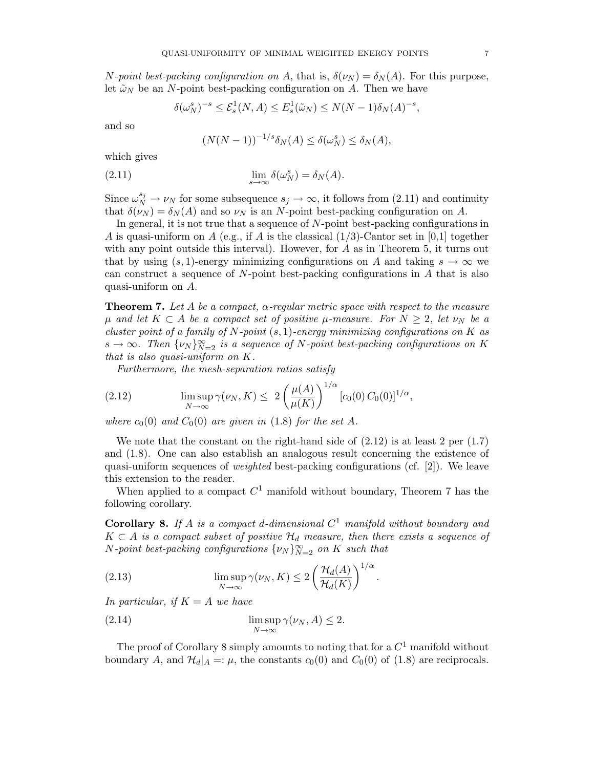N-point best-packing configuration on A, that is,  $\delta(\nu_N) = \delta_N(A)$ . For this purpose, let  $\tilde{\omega}_N$  be an N-point best-packing configuration on A. Then we have

$$
\delta(\omega_N^s)^{-s} \le \mathcal{E}_s^1(N, A) \le E_s^1(\tilde{\omega}_N) \le N(N-1)\delta_N(A)^{-s},
$$

and so

$$
(N(N-1))^{-1/s}\delta_N(A) \le \delta(\omega_N^s) \le \delta_N(A),
$$

which gives

(2.11) 
$$
\lim_{s \to \infty} \delta(\omega_N^s) = \delta_N(A).
$$

Since  $\omega_N^{s_j} \to \nu_N$  for some subsequence  $s_j \to \infty$ , it follows from (2.11) and continuity that  $\delta(\nu_N) = \delta_N(A)$  and so  $\nu_N$  is an N-point best-packing configuration on A.

In general, it is not true that a sequence of N-point best-packing configurations in A is quasi-uniform on A (e.g., if A is the classical  $(1/3)$ -Cantor set in [0,1] together with any point outside this interval). However, for  $A$  as in Theorem 5, it turns out that by using  $(s, 1)$ -energy minimizing configurations on A and taking  $s \to \infty$  we can construct a sequence of  $N$ -point best-packing configurations in  $A$  that is also quasi-uniform on A.

**Theorem 7.** Let A be a compact,  $\alpha$ -regular metric space with respect to the measure  $\mu$  and let  $K \subset A$  be a compact set of positive  $\mu$ -measure. For  $N \geq 2$ , let  $\nu_N$  be a cluster point of a family of N-point  $(s, 1)$ -energy minimizing configurations on K as  $s \to \infty$ . Then  $\{\nu_N\}_{N=2}^{\infty}$  is a sequence of N-point best-packing configurations on K that is also quasi-uniform on K.

Furthermore, the mesh-separation ratios satisfy

(2.12) 
$$
\limsup_{N \to \infty} \gamma(\nu_N, K) \leq 2 \left( \frac{\mu(A)}{\mu(K)} \right)^{1/\alpha} [c_0(0) C_0(0)]^{1/\alpha},
$$

where  $c_0(0)$  and  $C_0(0)$  are given in (1.8) for the set A.

We note that the constant on the right-hand side of  $(2.12)$  is at least 2 per  $(1.7)$ and (1.8). One can also establish an analogous result concerning the existence of quasi-uniform sequences of *weighted* best-packing configurations (cf. [2]). We leave this extension to the reader.

When applied to a compact  $C^1$  manifold without boundary, Theorem 7 has the following corollary.

**Corollary 8.** If A is a compact d-dimensional  $C^1$  manifold without boundary and  $K \subset A$  is a compact subset of positive  $\mathcal{H}_d$  measure, then there exists a sequence of N-point best-packing configurations  $\{\nu_N\}_{N=2}^{\infty}$  on K such that

.

(2.13) 
$$
\limsup_{N \to \infty} \gamma(\nu_N, K) \le 2 \left( \frac{\mathcal{H}_d(A)}{\mathcal{H}_d(K)} \right)^{1/\alpha}
$$

In particular, if  $K = A$  we have

(2.14) 
$$
\limsup_{N \to \infty} \gamma(\nu_N, A) \leq 2.
$$

The proof of Corollary 8 simply amounts to noting that for a  $C^1$  manifold without boundary A, and  $\mathcal{H}_d|_A =: \mu$ , the constants  $c_0(0)$  and  $C_0(0)$  of (1.8) are reciprocals.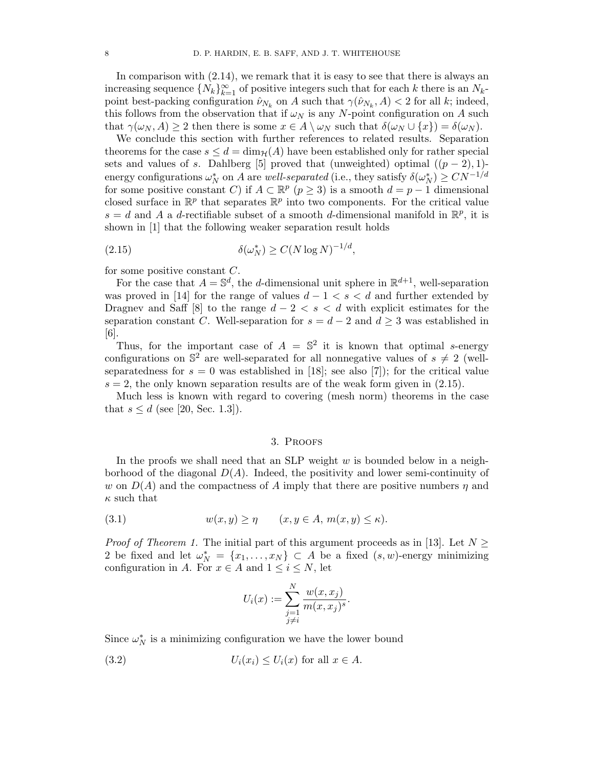In comparison with  $(2.14)$ , we remark that it is easy to see that there is always an increasing sequence  $\{N_k\}_{k=1}^{\infty}$  of positive integers such that for each k there is an  $N_k$ point best-packing configuration  $\hat{\nu}_{N_k}$  on A such that  $\gamma(\hat{\nu}_{N_k}, A) < 2$  for all k; indeed, this follows from the observation that if  $\omega_N$  is any N-point configuration on A such that  $\gamma(\omega_N, A) \geq 2$  then there is some  $x \in A \setminus \omega_N$  such that  $\delta(\omega_N \cup \{x\}) = \delta(\omega_N)$ .

We conclude this section with further references to related results. Separation theorems for the case  $s \leq d = \dim_{\mathcal{H}}(A)$  have been established only for rather special sets and values of s. Dahlberg [5] proved that (unweighted) optimal  $((p-2), 1)$ energy configurations  $\omega_N^*$  on A are well-separated (i.e., they satisfy  $\delta(\omega_N^*) \geq CN^{-1/d}$ for some positive constant C) if  $A \subset \mathbb{R}^p$   $(p \ge 3)$  is a smooth  $d = p - 1$  dimensional closed surface in  $\mathbb{R}^p$  that separates  $\mathbb{R}^p$  into two components. For the critical value  $s = d$  and A a d-rectifiable subset of a smooth d-dimensional manifold in  $\mathbb{R}^p$ , it is shown in [1] that the following weaker separation result holds

$$
(2.15) \t\t\t \delta(\omega_N^*) \ge C(N \log N)^{-1/d},
$$

for some positive constant C.

For the case that  $A = \mathbb{S}^d$ , the d-dimensional unit sphere in  $\mathbb{R}^{d+1}$ , well-separation was proved in [14] for the range of values  $d-1 < s < d$  and further extended by Dragnev and Saff [8] to the range  $d-2 < s < d$  with explicit estimates for the separation constant C. Well-separation for  $s = d - 2$  and  $d \geq 3$  was established in [6].

Thus, for the important case of  $A = \mathbb{S}^2$  it is known that optimal s-energy configurations on  $\mathbb{S}^2$  are well-separated for all nonnegative values of  $s \neq 2$  (wellseparatedness for  $s = 0$  was established in [18]; see also [7]); for the critical value  $s = 2$ , the only known separation results are of the weak form given in  $(2.15)$ .

Much less is known with regard to covering (mesh norm) theorems in the case that  $s \leq d$  (see [20, Sec. 1.3]).

### 3. Proofs

In the proofs we shall need that an SLP weight  $w$  is bounded below in a neighborhood of the diagonal  $D(A)$ . Indeed, the positivity and lower semi-continuity of w on  $D(A)$  and the compactness of A imply that there are positive numbers  $\eta$  and  $\kappa$  such that

$$
(3.1) \t\t w(x,y) \ge \eta \t (x, y \in A, m(x,y) \le \kappa).
$$

*Proof of Theorem 1.* The initial part of this argument proceeds as in [13]. Let  $N \geq$ 2 be fixed and let  $\omega_N^* = \{x_1, \ldots, x_N\} \subset A$  be a fixed  $(s, w)$ -energy minimizing configuration in A. For  $x \in A$  and  $1 \leq i \leq N$ , let

$$
U_i(x) := \sum_{\substack{j=1 \ j \neq i}}^N \frac{w(x, x_j)}{m(x, x_j)^s}.
$$

Since  $\omega_N^*$  is a minimizing configuration we have the lower bound

(3.2) 
$$
U_i(x_i) \le U_i(x) \text{ for all } x \in A.
$$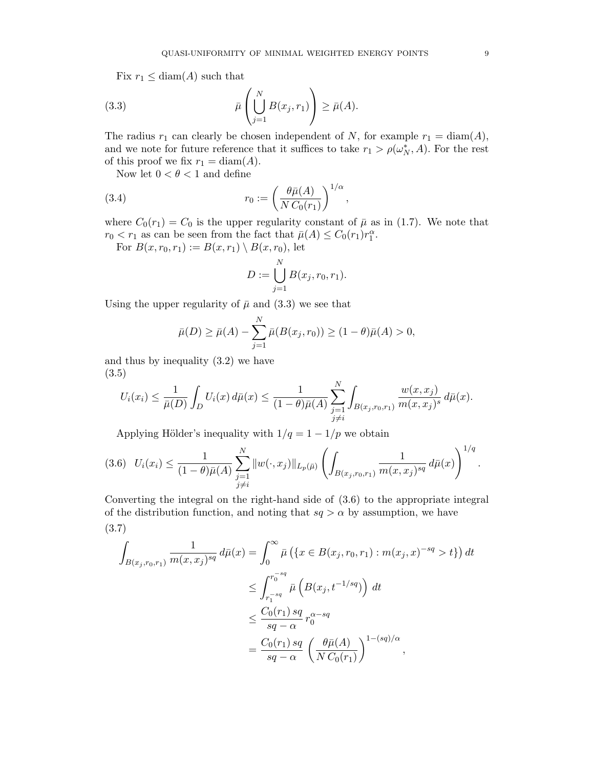Fix  $r_1 \leq \text{diam}(A)$  such that

(3.3) 
$$
\bar{\mu}\left(\bigcup_{j=1}^N B(x_j,r_1)\right) \geq \bar{\mu}(A).
$$

The radius  $r_1$  can clearly be chosen independent of N, for example  $r_1 = \text{diam}(A)$ , and we note for future reference that it suffices to take  $r_1 > \rho(\omega_N^*, A)$ . For the rest of this proof we fix  $r_1 = \text{diam}(A)$ .

Now let  $0 < \theta < 1$  and define

(3.4) 
$$
r_0 := \left(\frac{\theta \bar{\mu}(A)}{N C_0(r_1)}\right)^{1/\alpha},
$$

where  $C_0(r_1) = C_0$  is the upper regularity constant of  $\bar{\mu}$  as in (1.7). We note that  $r_0 < r_1$  as can be seen from the fact that  $\bar{\mu}(A) \leq C_0(r_1)r_1^{\alpha}$ .

For  $B(x, r_0, r_1) := B(x, r_1) \setminus B(x, r_0)$ , let

$$
D := \bigcup_{j=1}^{N} B(x_j, r_0, r_1).
$$

Using the upper regularity of  $\bar{\mu}$  and (3.3) we see that

$$
\bar{\mu}(D) \ge \bar{\mu}(A) - \sum_{j=1}^{N} \bar{\mu}(B(x_j, r_0)) \ge (1 - \theta)\bar{\mu}(A) > 0,
$$

and thus by inequality (3.2) we have (3.5)

$$
U_i(x_i) \leq \frac{1}{\bar{\mu}(D)} \int_D U_i(x) d\bar{\mu}(x) \leq \frac{1}{(1-\theta)\bar{\mu}(A)} \sum_{\substack{j=1 \ j \neq i}}^N \int_{B(x_j,r_0,r_1)} \frac{w(x,x_j)}{m(x,x_j)^s} d\bar{\mu}(x).
$$

Applying Hölder's inequality with  $1/q = 1 - 1/p$  we obtain

$$
(3.6) \quad U_i(x_i) \leq \frac{1}{(1-\theta)\bar{\mu}(A)} \sum_{\substack{j=1 \ j \neq i}}^N \|w(\cdot,x_j)\|_{L_p(\bar{\mu})} \left( \int_{B(x_j,r_0,r_1)} \frac{1}{m(x,x_j)^{sq}} d\bar{\mu}(x) \right)^{1/q}.
$$

Converting the integral on the right-hand side of (3.6) to the appropriate integral of the distribution function, and noting that  $sq > \alpha$  by assumption, we have (3.7)

$$
\int_{B(x_j,r_0,r_1)} \frac{1}{m(x,x_j)^{sq}} d\bar{\mu}(x) = \int_0^\infty \bar{\mu}\left(\left\{x \in B(x_j,r_0,r_1) : m(x_j,x)^{-sq} > t\right\}\right) dt
$$
\n
$$
\leq \int_{r_1^{-sq}}^{r_0^{-sq}} \bar{\mu}\left(B(x_j,t^{-1/sq})\right) dt
$$
\n
$$
\leq \frac{C_0(r_1) \, sq}{sq - \alpha} \, r_0^{\alpha - sq}
$$
\n
$$
= \frac{C_0(r_1) \, sq}{sq - \alpha} \left(\frac{\theta \bar{\mu}(A)}{NC_0(r_1)}\right)^{1 - (sq)/\alpha},
$$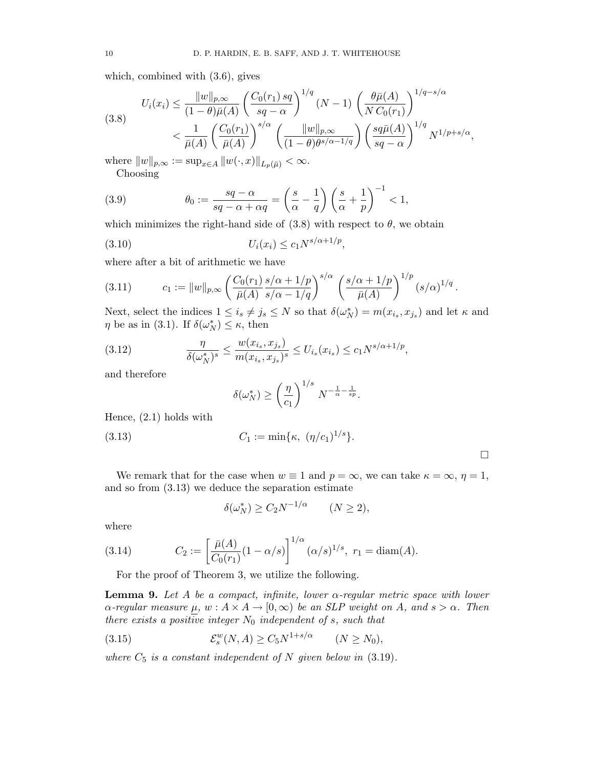which, combined with (3.6), gives

$$
(3.8) \quad U_i(x_i) \leq \frac{\|w\|_{p,\infty}}{(1-\theta)\bar{\mu}(A)} \left(\frac{C_0(r_1) \, sq}{sq - \alpha}\right)^{1/q} (N-1) \left(\frac{\theta \bar{\mu}(A)}{NC_0(r_1)}\right)^{1/q - s/\alpha}
$$
\n
$$
< \frac{1}{\bar{\mu}(A)} \left(\frac{C_0(r_1)}{\bar{\mu}(A)}\right)^{s/\alpha} \left(\frac{\|w\|_{p,\infty}}{(1-\theta)\theta^{s/\alpha-1/q}}\right) \left(\frac{sq\bar{\mu}(A)}{sq - \alpha}\right)^{1/q} N^{1/p + s/\alpha},
$$

where  $||w||_{p,\infty} := \sup_{x \in A} ||w(\cdot, x)||_{L_p(\bar{\mu})} < \infty.$ Choosing

(3.9) 
$$
\theta_0 := \frac{sq - \alpha}{sq - \alpha + \alpha q} = \left(\frac{s}{\alpha} - \frac{1}{q}\right) \left(\frac{s}{\alpha} + \frac{1}{p}\right)^{-1} < 1,
$$

which minimizes the right-hand side of  $(3.8)$  with respect to  $\theta$ , we obtain

(3.10) 
$$
U_i(x_i) \le c_1 N^{s/\alpha + 1/p},
$$

where after a bit of arithmetic we have

(3.11) 
$$
c_1 := \|w\|_{p,\infty} \left(\frac{C_0(r_1)}{\bar{\mu}(A)} \frac{s/\alpha + 1/p}{s/\alpha - 1/q}\right)^{s/\alpha} \left(\frac{s/\alpha + 1/p}{\bar{\mu}(A)}\right)^{1/p} (s/\alpha)^{1/q}
$$

Next, select the indices  $1 \le i_s \ne j_s \le N$  so that  $\delta(\omega_N^*) = m(x_{i_s}, x_{j_s})$  and let  $\kappa$  and  $\eta$  be as in (3.1). If  $\delta(\omega_N^*) \leq \kappa$ , then

.

 $\Box$ 

(3.12) 
$$
\frac{\eta}{\delta(\omega_N^*)^s} \le \frac{w(x_{i_s}, x_{j_s})}{m(x_{i_s}, x_{j_s})^s} \le U_{i_s}(x_{i_s}) \le c_1 N^{s/\alpha + 1/p},
$$

and therefore

$$
\delta(\omega_N^*) \ge \left(\frac{\eta}{c_1}\right)^{1/s} N^{-\frac{1}{\alpha} - \frac{1}{sp}}.
$$

Hence, (2.1) holds with

(3.13) 
$$
C_1 := \min{\kappa, \ (\eta/c_1)^{1/s}}.
$$

We remark that for the case when  $w \equiv 1$  and  $p = \infty$ , we can take  $\kappa = \infty$ ,  $\eta = 1$ , and so from (3.13) we deduce the separation estimate

$$
\delta(\omega_N^*) \ge C_2 N^{-1/\alpha} \qquad (N \ge 2),
$$

where

(3.14) 
$$
C_2 := \left[\frac{\bar{\mu}(A)}{C_0(r_1)}(1-\alpha/s)\right]^{1/\alpha} (\alpha/s)^{1/s}, r_1 = \text{diam}(A).
$$

For the proof of Theorem 3, we utilize the following.

**Lemma 9.** Let A be a compact, infinite, lower  $\alpha$ -regular metric space with lower  $\alpha$ -regular measure  $\mu$ ,  $w : A \times A \rightarrow [0, \infty)$  be an SLP weight on A, and  $s > \alpha$ . Then there exists a positive integer  $N_0$  independent of s, such that

(3.15) 
$$
\mathcal{E}_s^w(N,A) \geq C_5 N^{1+s/\alpha} \qquad (N \geq N_0),
$$

where  $C_5$  is a constant independent of N given below in  $(3.19)$ .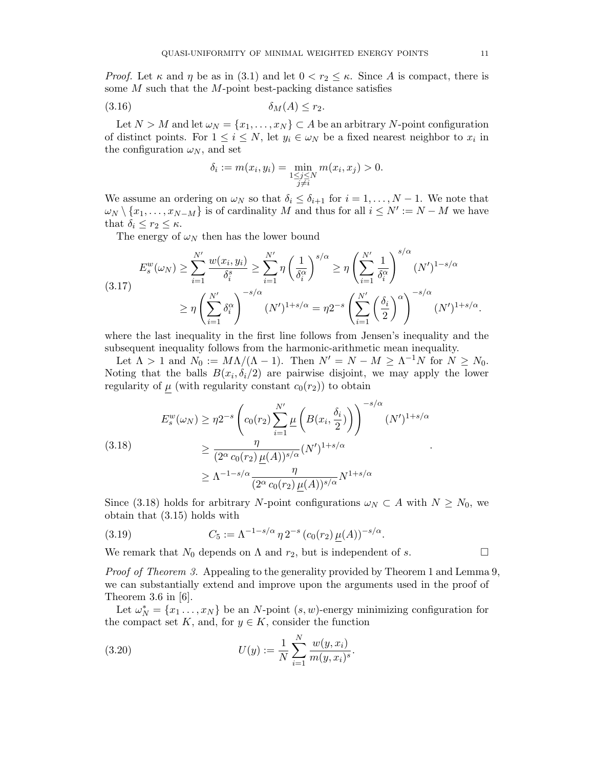*Proof.* Let  $\kappa$  and  $\eta$  be as in (3.1) and let  $0 < r_2 \leq \kappa$ . Since A is compact, there is some  $M$  such that the  $M$ -point best-packing distance satisfies

$$
(3.16) \t\t \t\t \delta_M(A) \le r_2.
$$

Let  $N > M$  and let  $\omega_N = \{x_1, \ldots, x_N\} \subset A$  be an arbitrary N-point configuration of distinct points. For  $1 \leq i \leq N$ , let  $y_i \in \omega_N$  be a fixed nearest neighbor to  $x_i$  in the configuration  $\omega_N$ , and set

$$
\delta_i := m(x_i, y_i) = \min_{\substack{1 \le j \le N \\ j \ne i}} m(x_i, x_j) > 0.
$$

We assume an ordering on  $\omega_N$  so that  $\delta_i \leq \delta_{i+1}$  for  $i = 1, ..., N-1$ . We note that  $\omega_N \setminus \{x_1, \ldots, x_{N-M}\}\$ is of cardinality M and thus for all  $i \leq N' := N - M$  we have that  $\delta_i \leq r_2 \leq \kappa$ .

 $\sim$  /  $\sim$ 

The energy of  $\omega_N$  then has the lower bound

$$
E_s^w(\omega_N) \ge \sum_{i=1}^{N'} \frac{w(x_i, y_i)}{\delta_i^s} \ge \sum_{i=1}^{N'} \eta \left(\frac{1}{\delta_i^{\alpha}}\right)^{s/\alpha} \ge \eta \left(\sum_{i=1}^{N'} \frac{1}{\delta_i^{\alpha}}\right)^{s/\alpha} (N')^{1-s/\alpha}
$$
  

$$
\ge \eta \left(\sum_{i=1}^{N'} \delta_i^{\alpha}\right)^{-s/\alpha} (N')^{1+s/\alpha} = \eta 2^{-s} \left(\sum_{i=1}^{N'} \left(\frac{\delta_i}{2}\right)^{\alpha}\right)^{-s/\alpha} (N')^{1+s/\alpha}.
$$

where the last inequality in the first line follows from Jensen's inequality and the subsequent inequality follows from the harmonic-arithmetic mean inequality.

Let  $\Lambda > 1$  and  $N_0 := M\Lambda/(\Lambda - 1)$ . Then  $N' = N - M \ge \Lambda^{-1}N$  for  $N \ge N_0$ . Noting that the balls  $B(x_i, \delta_i/2)$  are pairwise disjoint, we may apply the lower regularity of  $\mu$  (with regularity constant  $c_0(r_2)$ ) to obtain

$$
E_s^w(\omega_N) \ge \eta 2^{-s} \left( c_0(r_2) \sum_{i=1}^{N'} \underline{\mu} \left( B(x_i, \frac{\delta_i}{2}) \right) \right)^{-s/\alpha} (N')^{1+s/\alpha}
$$
  
\n
$$
\ge \frac{\eta}{(2^{\alpha} c_0(r_2) \underline{\mu}(A))^{s/\alpha}} (N')^{1+s/\alpha}
$$
  
\n
$$
\ge \Lambda^{-1-s/\alpha} \frac{\eta}{(2^{\alpha} c_0(r_2) \underline{\mu}(A))^{s/\alpha}} N^{1+s/\alpha}
$$

Since (3.18) holds for arbitrary N-point configurations  $\omega_N \subset A$  with  $N \ge N_0$ , we obtain that (3.15) holds with

(3.19) 
$$
C_5 := \Lambda^{-1-s/\alpha} \eta 2^{-s} (c_0(r_2) \underline{\mu}(A))^{-s/\alpha}.
$$

We remark that  $N_0$  depends on  $\Lambda$  and  $r_2$ , but is independent of s.

Proof of Theorem 3. Appealing to the generality provided by Theorem 1 and Lemma 9, we can substantially extend and improve upon the arguments used in the proof of Theorem 3.6 in  $[6]$ .

Let  $\omega_N^* = \{x_1, \ldots, x_N\}$  be an N-point  $(s, w)$ -energy minimizing configuration for the compact set K, and, for  $y \in K$ , consider the function

(3.20) 
$$
U(y) := \frac{1}{N} \sum_{i=1}^{N} \frac{w(y, x_i)}{m(y, x_i)^s}.
$$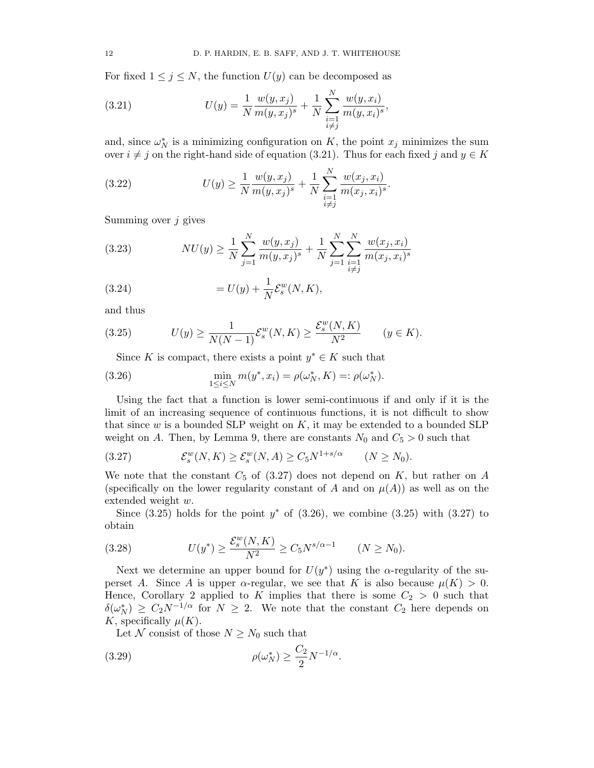For fixed  $1 \leq j \leq N$ , the function  $U(y)$  can be decomposed as

(3.21) 
$$
U(y) = \frac{1}{N} \frac{w(y, x_j)}{m(y, x_j)^s} + \frac{1}{N} \sum_{\substack{i=1 \ i \neq j}}^N \frac{w(y, x_i)}{m(y, x_i)^s},
$$

and, since  $\omega_N^*$  is a minimizing configuration on K, the point  $x_j$  minimizes the sum over  $i \neq j$  on the right-hand side of equation (3.21). Thus for each fixed j and  $y \in K$ 

(3.22) 
$$
U(y) \geq \frac{1}{N} \frac{w(y, x_j)}{m(y, x_j)^s} + \frac{1}{N} \sum_{\substack{i=1 \ i \neq j}}^N \frac{w(x_j, x_i)}{m(x_j, x_i)^s}.
$$

Summing over  $j$  gives

(3.23) 
$$
NU(y) \ge \frac{1}{N} \sum_{j=1}^{N} \frac{w(y, x_j)}{m(y, x_j)^s} + \frac{1}{N} \sum_{j=1}^{N} \sum_{\substack{i=1 \ i \neq j}}^{N} \frac{w(x_j, x_i)}{m(x_j, x_i)^s}
$$

(3.24) 
$$
= U(y) + \frac{1}{N} \mathcal{E}_s^w(N, K),
$$

and thus

(3.25) 
$$
U(y) \ge \frac{1}{N(N-1)} \mathcal{E}_s^w(N,K) \ge \frac{\mathcal{E}_s^w(N,K)}{N^2} \qquad (y \in K).
$$

Since K is compact, there exists a point  $y^* \in K$  such that

(3.26) 
$$
\min_{1 \le i \le N} m(y^*, x_i) = \rho(\omega_N^*, K) =: \rho(\omega_N^*).
$$

Using the fact that a function is lower semi-continuous if and only if it is the limit of an increasing sequence of continuous functions, it is not difficult to show that since w is a bounded SLP weight on  $K$ , it may be extended to a bounded SLP weight on A. Then, by Lemma 9, there are constants  $N_0$  and  $C_5 > 0$  such that

$$
(3.27) \t\t \mathcal{E}_s^w(N,K) \ge \mathcal{E}_s^w(N,A) \ge C_5 N^{1+s/\alpha} \t (N \ge N_0).
$$

We note that the constant  $C_5$  of  $(3.27)$  does not depend on K, but rather on A (specifically on the lower regularity constant of A and on  $\mu(A)$ ) as well as on the extended weight w.

Since  $(3.25)$  holds for the point  $y^*$  of  $(3.26)$ , we combine  $(3.25)$  with  $(3.27)$  to obtain

(3.28) 
$$
U(y^*) \ge \frac{\mathcal{E}_s^w(N,K)}{N^2} \ge C_5 N^{s/\alpha - 1} \qquad (N \ge N_0).
$$

Next we determine an upper bound for  $U(y^*)$  using the  $\alpha$ -regularity of the superset A. Since A is upper  $\alpha$ -regular, we see that K is also because  $\mu(K) > 0$ . Hence, Corollary 2 applied to K implies that there is some  $C_2 > 0$  such that  $\delta(\omega_N^*) \geq C_2 N^{-1/\alpha}$  for  $N \geq 2$ . We note that the constant  $C_2$  here depends on K, specifically  $\mu(K)$ .

Let N consist of those  $N \geq N_0$  such that

(3.29) 
$$
\rho(\omega_N^*) \ge \frac{C_2}{2} N^{-1/\alpha}.
$$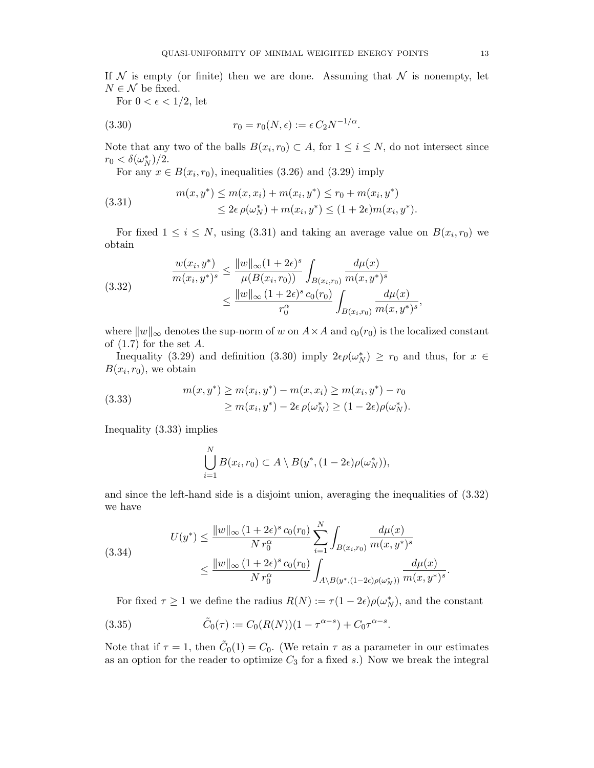If  $N$  is empty (or finite) then we are done. Assuming that  $N$  is nonempty, let  $N \in \mathcal{N}$  be fixed.

For  $0 < \epsilon < 1/2$ , let

(3.30) 
$$
r_0 = r_0(N, \epsilon) := \epsilon C_2 N^{-1/\alpha}.
$$

Note that any two of the balls  $B(x_i, r_0) \subset A$ , for  $1 \le i \le N$ , do not intersect since  $r_0 < \delta(\omega_N^*)/2.$ 

For any  $x \in B(x_i, r_0)$ , inequalities (3.26) and (3.29) imply

(3.31) 
$$
m(x, y^*) \le m(x, x_i) + m(x_i, y^*) \le r_0 + m(x_i, y^*)
$$

$$
\le 2\epsilon \rho(\omega_N^*) + m(x_i, y^*) \le (1 + 2\epsilon)m(x_i, y^*).
$$

For fixed  $1 \leq i \leq N$ , using (3.31) and taking an average value on  $B(x_i, r_0)$  we obtain

(3.32) 
$$
\frac{w(x_i, y^*)}{m(x_i, y^*)^s} \le \frac{\|w\|_{\infty} (1+2\epsilon)^s}{\mu(B(x_i, r_0))} \int_{B(x_i, r_0)} \frac{d\mu(x)}{m(x, y^*)^s} \le \frac{\|w\|_{\infty} (1+2\epsilon)^s c_0(r_0)}{r_0^{\alpha}} \int_{B(x_i, r_0)} \frac{d\mu(x)}{m(x, y^*)^s},
$$

where  $||w||_{\infty}$  denotes the sup-norm of w on  $A \times A$  and  $c_0(r_0)$  is the localized constant of  $(1.7)$  for the set A.

Inequality (3.29) and definition (3.30) imply  $2\epsilon \rho(\omega_N^*) \geq r_0$  and thus, for  $x \in$  $B(x_i, r_0)$ , we obtain

(3.33) 
$$
m(x, y^*) \ge m(x_i, y^*) - m(x, x_i) \ge m(x_i, y^*) - r_0
$$

$$
\ge m(x_i, y^*) - 2\epsilon \rho(\omega_N^*) \ge (1 - 2\epsilon)\rho(\omega_N^*).
$$

Inequality (3.33) implies

$$
\bigcup_{i=1}^N B(x_i,r_0) \subset A \setminus B(y^*, (1-2\epsilon)\rho(\omega_N^*)),
$$

and since the left-hand side is a disjoint union, averaging the inequalities of (3.32) we have

$$
(3.34) \tU(y^*) \leq \frac{||w||_{\infty} (1 + 2\epsilon)^s c_0(r_0)}{N r_0^{\alpha}} \sum_{i=1}^N \int_{B(x_i, r_0)} \frac{d\mu(x)}{m(x, y^*)^s} \leq \frac{||w||_{\infty} (1 + 2\epsilon)^s c_0(r_0)}{N r_0^{\alpha}} \int_{A \setminus B(y^*, (1 - 2\epsilon)\rho(\omega_N^*))} \frac{d\mu(x)}{m(x, y^*)^s}.
$$

For fixed  $\tau \geq 1$  we define the radius  $R(N) := \tau(1 - 2\epsilon)\rho(\omega_N^*)$ , and the constant

(3.35) 
$$
\tilde{C}_0(\tau) := C_0(R(N))(1 - \tau^{\alpha - s}) + C_0 \tau^{\alpha - s}.
$$

Note that if  $\tau = 1$ , then  $\tilde{C}_0(1) = C_0$ . (We retain  $\tau$  as a parameter in our estimates as an option for the reader to optimize  $C_3$  for a fixed s.) Now we break the integral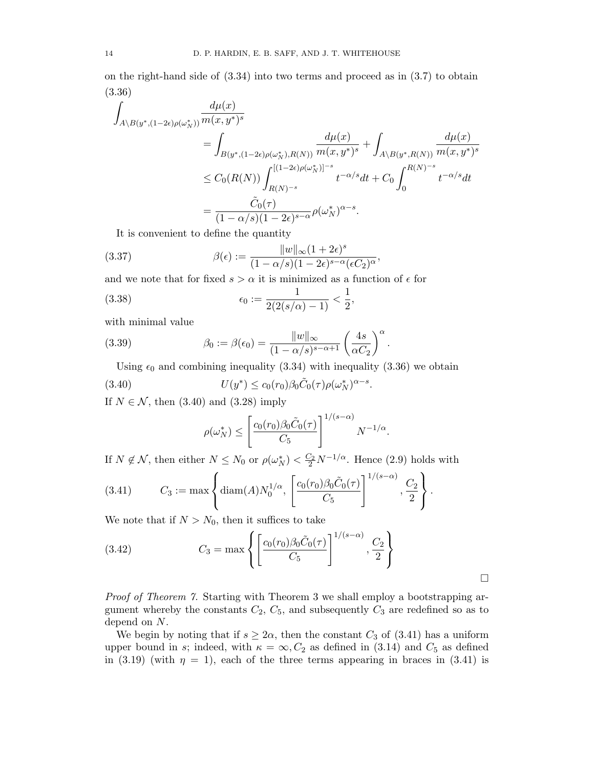on the right-hand side of (3.34) into two terms and proceed as in (3.7) to obtain (3.36)

$$
\int_{A\backslash B(y^*, (1-2\epsilon)\rho(\omega_N^*))} \frac{d\mu(x)}{m(x, y^*)^s}
$$
\n
$$
= \int_{B(y^*, (1-2\epsilon)\rho(\omega_N^*), R(N))} \frac{d\mu(x)}{m(x, y^*)^s} + \int_{A\backslash B(y^*, R(N))} \frac{d\mu(x)}{m(x, y^*)^s}
$$
\n
$$
\leq C_0(R(N)) \int_{R(N)^{-s}}^{[(1-2\epsilon)\rho(\omega_N^*)]^{-s}} t^{-\alpha/s} dt + C_0 \int_0^{R(N)^{-s}} t^{-\alpha/s} dt
$$
\n
$$
= \frac{\tilde{C}_0(\tau)}{(1 - \alpha/s)(1 - 2\epsilon)^{s-\alpha}} \rho(\omega_N^*)^{\alpha-s}.
$$

It is convenient to define the quantity

(3.37) 
$$
\beta(\epsilon) := \frac{\|w\|_{\infty} (1+2\epsilon)^s}{(1-\alpha/s)(1-2\epsilon)^{s-\alpha}(\epsilon C_2)^{\alpha}},
$$

and we note that for fixed  $s > \alpha$  it is minimized as a function of  $\epsilon$  for

(3.38) 
$$
\epsilon_0 := \frac{1}{2(2(s/\alpha) - 1)} < \frac{1}{2},
$$

with minimal value

(3.39) 
$$
\beta_0 := \beta(\epsilon_0) = \frac{\|w\|_{\infty}}{(1 - \alpha/s)^{s - \alpha + 1}} \left(\frac{4s}{\alpha C_2}\right)^{\alpha}.
$$

Using  $\epsilon_0$  and combining inequality (3.34) with inequality (3.36) we obtain

(3.40) 
$$
U(y^*) \le c_0(r_0) \beta_0 \tilde{C}_0(\tau) \rho(\omega_N^*)^{\alpha - s}.
$$

If  $N \in \mathcal{N}$ , then (3.40) and (3.28) imply

$$
\rho(\omega_N^*) \le \left[\frac{c_0(r_0)\beta_0\tilde{C}_0(\tau)}{C_5}\right]^{1/(s-\alpha)}N^{-1/\alpha}.
$$

.

 $\Box$ 

If  $N \notin \mathcal{N}$ , then either  $N \leq N_0$  or  $\rho(\omega_N^*) < \frac{C_2}{2} N^{-1/\alpha}$ . Hence (2.9) holds with

(3.41) 
$$
C_3 := \max \left\{ \text{diam}(A) N_0^{1/\alpha}, \left[ \frac{c_0(r_0)\beta_0 \tilde{C}_0(\tau)}{C_5} \right]^{1/(s-\alpha)}, \frac{C_2}{2} \right\}
$$

We note that if  $N > N_0$ , then it suffices to take

(3.42) 
$$
C_3 = \max \left\{ \left[ \frac{c_0(r_0)\beta_0 \tilde{C}_0(\tau)}{C_5} \right]^{1/(s-\alpha)}, \frac{C_2}{2} \right\}
$$

Proof of Theorem 7. Starting with Theorem 3 we shall employ a bootstrapping argument whereby the constants  $C_2$ ,  $C_5$ , and subsequently  $C_3$  are redefined so as to depend on N.

We begin by noting that if  $s \geq 2\alpha$ , then the constant  $C_3$  of (3.41) has a uniform upper bound in s; indeed, with  $\kappa = \infty$ ,  $C_2$  as defined in (3.14) and  $C_5$  as defined in (3.19) (with  $\eta = 1$ ), each of the three terms appearing in braces in (3.41) is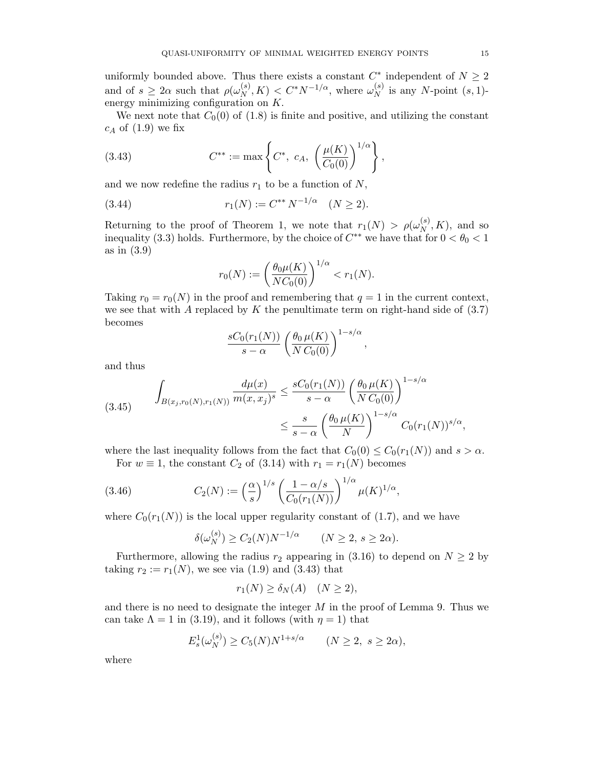uniformly bounded above. Thus there exists a constant  $C^*$  independent of  $N \geq 2$ and of  $s \geq 2\alpha$  such that  $\rho(\omega_N^{(s)})$  $_N^{(s)}, K$ ) <  $C^*N^{-1/\alpha}$ , where  $\omega_N^{(s)}$  $_N^{(s)}$  is any N-point  $(s, 1)$ energy minimizing configuration on K.

We next note that  $C_0(0)$  of (1.8) is finite and positive, and utilizing the constant  $c_A$  of  $(1.9)$  we fix

(3.43) 
$$
C^{**} := \max \left\{ C^*, \ c_A, \ \left( \frac{\mu(K)}{C_0(0)} \right)^{1/\alpha} \right\},
$$

and we now redefine the radius  $r_1$  to be a function of  $N$ ,

(3.44) 
$$
r_1(N) := C^{**} N^{-1/\alpha} \quad (N \ge 2).
$$

Returning to the proof of Theorem 1, we note that  $r_1(N) > \rho(\omega_N^{(s)})$  $_N^{(s)}$ , K), and so inequality (3.3) holds. Furthermore, by the choice of  $C^{**}$  we have that for  $0 < \theta_0 < 1$ as in (3.9)

$$
r_0(N) := \left(\frac{\theta_0 \mu(K)}{NC_0(0)}\right)^{1/\alpha} < r_1(N).
$$

Taking  $r_0 = r_0(N)$  in the proof and remembering that  $q = 1$  in the current context, we see that with A replaced by K the penultimate term on right-hand side of  $(3.7)$ becomes

$$
\frac{sC_0(r_1(N))}{s-\alpha} \left(\frac{\theta_0 \,\mu(K)}{N\,C_0(0)}\right)^{1-s/\alpha},\,
$$

and thus

$$
(3.45) \qquad \int_{B(x_j, r_0(N), r_1(N))} \frac{d\mu(x)}{m(x, x_j)^s} \le \frac{sC_0(r_1(N))}{s - \alpha} \left(\frac{\theta_0 \mu(K)}{NC_0(0)}\right)^{1 - s/\alpha} \le \frac{s}{s - \alpha} \left(\frac{\theta_0 \mu(K)}{N}\right)^{1 - s/\alpha} C_0(r_1(N))^{s/\alpha},
$$

where the last inequality follows from the fact that  $C_0(0) \leq C_0(r_1(N))$  and  $s > \alpha$ .

For  $w \equiv 1$ , the constant  $C_2$  of (3.14) with  $r_1 = r_1(N)$  becomes

(3.46) 
$$
C_2(N) := \left(\frac{\alpha}{s}\right)^{1/s} \left(\frac{1-\alpha/s}{C_0(r_1(N))}\right)^{1/\alpha} \mu(K)^{1/\alpha},
$$

where  $C_0(r_1(N))$  is the local upper regularity constant of (1.7), and we have

$$
\delta(\omega_N^{(s)}) \ge C_2(N)N^{-1/\alpha} \qquad (N \ge 2, s \ge 2\alpha).
$$

Furthermore, allowing the radius  $r_2$  appearing in (3.16) to depend on  $N \geq 2$  by taking  $r_2 := r_1(N)$ , we see via (1.9) and (3.43) that

$$
r_1(N) \ge \delta_N(A) \quad (N \ge 2),
$$

and there is no need to designate the integer  $M$  in the proof of Lemma 9. Thus we can take  $\Lambda = 1$  in (3.19), and it follows (with  $\eta = 1$ ) that

$$
E_s^1(\omega_N^{(s)}) \ge C_5(N)N^{1+s/\alpha}
$$
  $(N \ge 2, s \ge 2\alpha),$ 

where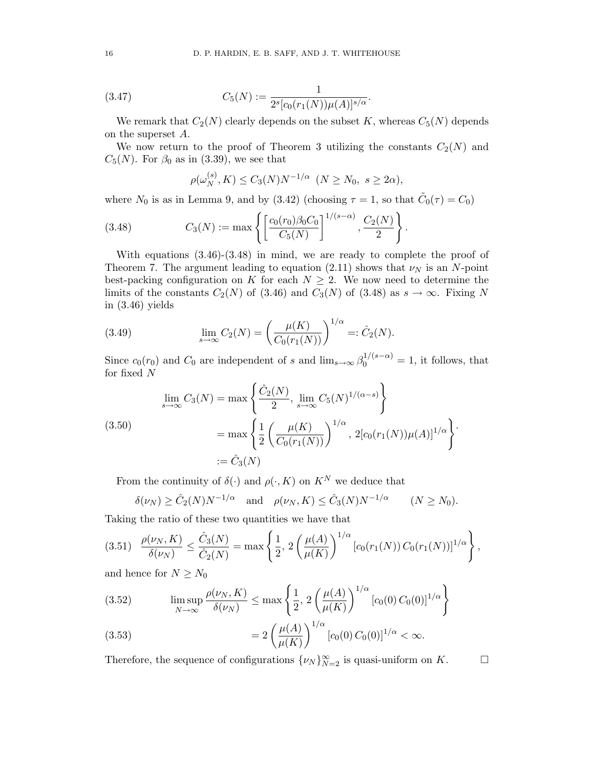(3.47) 
$$
C_5(N) := \frac{1}{2^s[c_0(r_1(N))\mu(A)]^{s/\alpha}}.
$$

We remark that  $C_2(N)$  clearly depends on the subset K, whereas  $C_5(N)$  depends on the superset A.

We now return to the proof of Theorem 3 utilizing the constants  $C_2(N)$  and  $C_5(N)$ . For  $\beta_0$  as in (3.39), we see that

$$
\rho(\omega_N^{(s)}, K) \le C_3(N)N^{-1/\alpha} \ (N \ge N_0, s \ge 2\alpha),
$$

where  $N_0$  is as in Lemma 9, and by (3.42) (choosing  $\tau = 1$ , so that  $\tilde{C}_0(\tau) = C_0$ )

(3.48) 
$$
C_3(N) := \max \left\{ \left[ \frac{c_0(r_0)\beta_0 C_0}{C_5(N)} \right]^{1/(s-\alpha)}, \frac{C_2(N)}{2} \right\}.
$$

With equations  $(3.46)-(3.48)$  in mind, we are ready to complete the proof of Theorem 7. The argument leading to equation (2.11) shows that  $\nu_N$  is an N-point best-packing configuration on K for each  $N \geq 2$ . We now need to determine the limits of the constants  $C_2(N)$  of (3.46) and  $C_3(N)$  of (3.48) as  $s \to \infty$ . Fixing N in  $(3.46)$  yields

(3.49) 
$$
\lim_{s \to \infty} C_2(N) = \left(\frac{\mu(K)}{C_0(r_1(N))}\right)^{1/\alpha} =: \hat{C}_2(N).
$$

Since  $c_0(r_0)$  and  $C_0$  are independent of s and  $\lim_{s\to\infty} \beta_0^{1/(s-\alpha)} = 1$ , it follows, that for fixed N

$$
\lim_{s \to \infty} C_3(N) = \max \left\{ \frac{\hat{C}_2(N)}{2}, \lim_{s \to \infty} C_5(N)^{1/(\alpha - s)} \right\}
$$
\n
$$
= \max \left\{ \frac{1}{2} \left( \frac{\mu(K)}{C_0(r_1(N))} \right)^{1/\alpha}, 2[c_0(r_1(N))\mu(A)]^{1/\alpha} \right\}.
$$
\n
$$
:= \hat{C}_3(N)
$$

From the continuity of  $\delta(\cdot)$  and  $\rho(\cdot, K)$  on  $K^N$  we deduce that

$$
\delta(\nu_N) \geq \hat{C}_2(N)N^{-1/\alpha} \quad \text{and} \quad \rho(\nu_N, K) \leq \hat{C}_3(N)N^{-1/\alpha} \qquad (N \geq N_0).
$$

Taking the ratio of these two quantities we have that

$$
(3.51) \quad \frac{\rho(\nu_N, K)}{\delta(\nu_N)} \le \frac{\hat{C}_3(N)}{\hat{C}_2(N)} = \max\left\{\frac{1}{2}, 2\left(\frac{\mu(A)}{\mu(K)}\right)^{1/\alpha} [c_0(r_1(N)) C_0(r_1(N))]^{1/\alpha}\right\},\,
$$

and hence for  $N \geq N_0$ 

(3.52) 
$$
\limsup_{N \to \infty} \frac{\rho(\nu_N, K)}{\delta(\nu_N)} \le \max \left\{ \frac{1}{2}, 2 \left( \frac{\mu(A)}{\mu(K)} \right)^{1/\alpha} [c_0(0) C_0(0)]^{1/\alpha} \right\}
$$

(3.53) 
$$
=2\left(\frac{\mu(A)}{\mu(K)}\right)^{1/\alpha}[c_0(0) C_0(0)]^{1/\alpha} < \infty.
$$

Therefore, the sequence of configurations  $\{\nu_N\}_{N=2}^{\infty}$  is quasi-uniform on K.